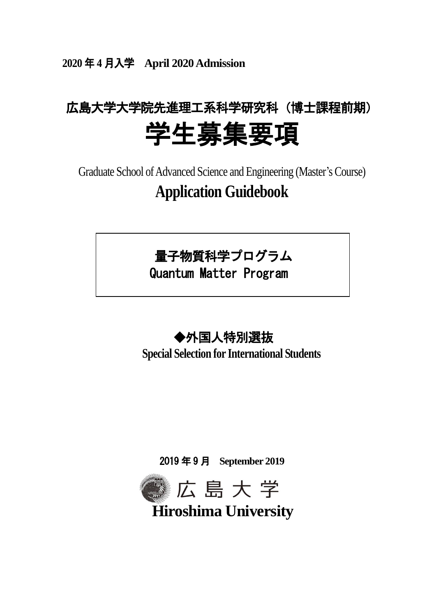**2020** 年 **4** 月入学 **April 2020Admission**

# 広島大学大学院先進理工系科学研究科(博士課程前期) 学生募集要項

Graduate School of Advanced Science and Engineering (Master's Course) **Application Guidebook**

## 量子物質科学プログラム

Quantum Matter Program

## ◆外国人特別選抜

**Special Selection for International Students**

2019 年 9 月 **September 2019**



**Hiroshima University**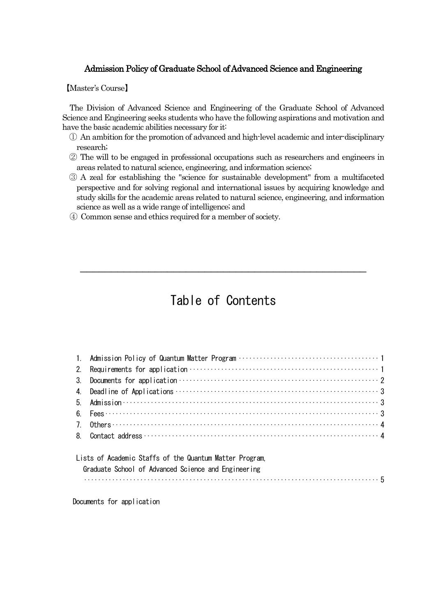#### Admission Policy of Graduate School of Advanced Science and Engineering

【Master's Course】

The Division of Advanced Science and Engineering of the Graduate School of Advanced Science and Engineering seeks students who have the following aspirations and motivation and have the basic academic abilities necessary for it:

- ① An ambition for the promotion of advanced and high-level academic and inter-disciplinary research;
- ② The will to be engaged in professional occupations such as researchers and engineers in areas related to natural science, engineering, and information science;
- ③ A zeal for establishing the "science for sustainable development" from a multifaceted perspective and for solving regional and international issues by acquiring knowledge and study skills for the academic areas related to natural science, engineering, and information science as well as a wide range of intelligence; and
- ④ Common sense and ethics required for a member of society.

## Table of Contents

\_\_\_\_\_\_\_\_\_\_\_\_\_\_\_\_\_\_\_\_\_\_\_\_\_\_\_\_\_\_\_\_\_\_\_\_\_\_\_\_\_\_\_\_\_\_

| 2. |                                                                                                                                                                                                                                                                                                                                                                                                                                                                                                                                                                   |  |
|----|-------------------------------------------------------------------------------------------------------------------------------------------------------------------------------------------------------------------------------------------------------------------------------------------------------------------------------------------------------------------------------------------------------------------------------------------------------------------------------------------------------------------------------------------------------------------|--|
| 3. |                                                                                                                                                                                                                                                                                                                                                                                                                                                                                                                                                                   |  |
|    |                                                                                                                                                                                                                                                                                                                                                                                                                                                                                                                                                                   |  |
|    |                                                                                                                                                                                                                                                                                                                                                                                                                                                                                                                                                                   |  |
|    |                                                                                                                                                                                                                                                                                                                                                                                                                                                                                                                                                                   |  |
|    | 7. Others $\cdots$ $\cdots$ $\cdots$ $\cdots$ $\cdots$ $\cdots$ $\cdots$ $\cdots$ $\cdots$ $\cdots$ $\cdots$ $\cdots$ $\cdots$ $\cdots$ $\cdots$ $\cdots$ $\cdots$ $\cdots$                                                                                                                                                                                                                                                                                                                                                                                       |  |
|    |                                                                                                                                                                                                                                                                                                                                                                                                                                                                                                                                                                   |  |
|    | Lists of Academic Staffs of the Quantum Matter Program.<br>Graduate School of Advanced Science and Engineering<br>$\begin{minipage}{0.9\linewidth} \begin{tabular}{l} \hline \textbf{1} & \textbf{2} & \textbf{3} & \textbf{4} & \textbf{5} \\ \hline \textbf{2} & \textbf{3} & \textbf{4} & \textbf{5} & \textbf{5} \\ \textbf{4} & \textbf{5} & \textbf{5} & \textbf{6} & \textbf{7} \\ \textbf{5} & \textbf{6} & \textbf{6} & \textbf{7} & \textbf{8} \\ \textbf{6} & \textbf{7} & \textbf{8} & \textbf{9} & \textbf{10} \\ \textbf{7} & \textbf{8} & \textbf$ |  |

Documents for application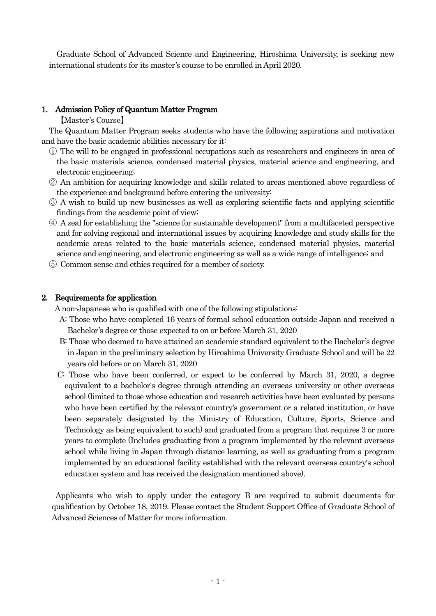Graduate School of Advanced Science and Engineering, Hiroshima University, is seeking new international students for its master's course to be enrolled in April 2020.

#### 1. Admission Policy of Quantum Matter Program

【Master's Course】

The Quantum Matter Program seeks students who have the following aspirations and motivation and have the basic academic abilities necessary for it:

- ① The will to be engaged in professional occupations such as researchers and engineers in area of the basic materials science, condensed material physics, material science and engineering, and electronic engineering;
- ② An ambition for acquiring knowledge and skills related to areas mentioned above regardless of the experience and background before entering the university;
- ③ A wish to build up new businesses as well as exploring scientific facts and applying scientific findings from the academic point of view;
- ④ A zeal for establishing the "science for sustainable development" from a multifaceted perspective and for solving regional and international issues by acquiring knowledge and study skills for the academic areas related to the basic materials science, condensed material physics, material science and engineering, and electronic engineering as well as a wide range of intelligence; and
- ⑤ Common sense and ethics required for a member of society.

#### 2. Requirements for application

A non-Japanese who is qualified with one of the following stipulations:

- A: Those who have completed 16 years of formal school education outside Japan and received a Bachelor's degree or those expected to on or before March 31, 2020
- B: Those who deemed to have attained an academic standard equivalent to the Bachelor's degree in Japan in the preliminary selection by Hiroshima University Graduate School and will be 22 years old before or on March 31, 2020
- C: Those who have been conferred, or expect to be conferred by March 31, 2020, a degree equivalent to a bachelor's degree through attending an overseas university or other overseas school (limited to those whose education and research activities have been evaluated by persons who have been certified by the relevant country's government or a related institution, or have been separately designated by the Ministry of Education, Culture, Sports, Science and Technology as being equivalent to such) and graduated from a program that requires 3 or more years to complete (Includes graduating from a program implemented by the relevant overseas school while living in Japan through distance learning, as well as graduating from a program implemented by an educational facility established with the relevant overseas country's school education system and has received the designation mentioned above).

Applicants who wish to apply under the category B are required to submit documents for qualification by October 18, 2019. Please contact the Student Support Office of Graduate School of Advanced Sciences of Matter for more information.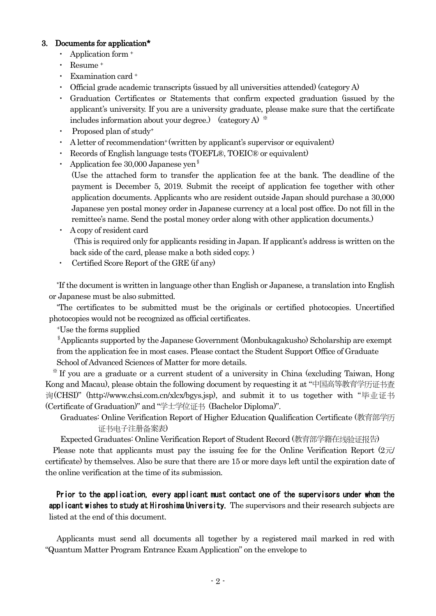#### 3. Documents for application\*

- ・ Application form <sup>+</sup>
- Resume<sup>+</sup>
- Examination card +
- Official grade academic transcripts (issued by all universities attended) (category  $A$ )
- Graduation Certificates or Statements that confirm expected graduation (issued by the applicant's university. If you are a university graduate, please make sure that the certificate includes information about your degree.) (category A)  $*$
- Proposed plan of study<sup>+</sup>
- A letter of recommendation<sup>+</sup> (written by applicant's supervisor or equivalent)
- ・ Records of English language tests (TOEFL®, TOEIC® or equivalent)
- Application fee 30,000 Japanese yen<sup>§</sup>

(Use the attached form to transfer the application fee at the bank. The deadline of the payment is December 5, 2019. Submit the receipt of application fee together with other application documents. Applicants who are resident outside Japan should purchase a 30,000 Japanese yen postal money order in Japanese currency at a local post office. Do not fill in the remittee's name. Send the postal money order along with other application documents.)

- ・ A copy of resident card (This is required only for applicants residing in Japan. If applicant's address is written on the back side of the card, please make a both sided copy. )
- Certified Score Report of the GRE (if any)

\*If the document is written in language other than English or Japanese, a translation into English or Japanese must be also submitted.

\*The certificates to be submitted must be the originals or certified photocopies. Uncertified photocopies would not be recognized as official certificates.

<sup>+</sup>Use the forms supplied

§Applicants supported by the Japanese Government (Monbukagakusho) Scholarship are exempt from the application fee in most cases. Please contact the Student Support Office of Graduate School of Advanced Sciences of Matter for more details.

※ If you are a graduate or a current student of a university in China (excluding Taiwan, Hong Kong and Macau), please obtain the following document by requesting it at "中国高等教育学历证书查 询(CHSI)" (http://www.chsi.com.cn/xlcx/bgys.jsp), and submit it to us together with "毕业证书 (Certificate of Graduation)" and "学士学位证书 (Bachelor Diploma)".

Graduates: Online Verification Report of Higher Education Qualification Certificate (教育部学历 证书电子注册备案表)

Expected Graduates: Online Verification Report of Student Record (教育部学籍在线验证报告)

Please note that applicants must pay the issuing fee for the Online Verification Report  $(2\overline{\pi})$ certificate) by themselves. Also be sure that there are 15 or more days left until the expiration date of the online verification at the time of its submission.

Prior to the application, every applicant must contact one of the supervisors under whom the applicant wishes to study at Hiroshima University. The supervisors and their research subjects are listed at the end of this document.

Applicants must send all documents all together by a registered mail marked in red with "Quantum Matter Program Entrance Exam Application" on the envelope to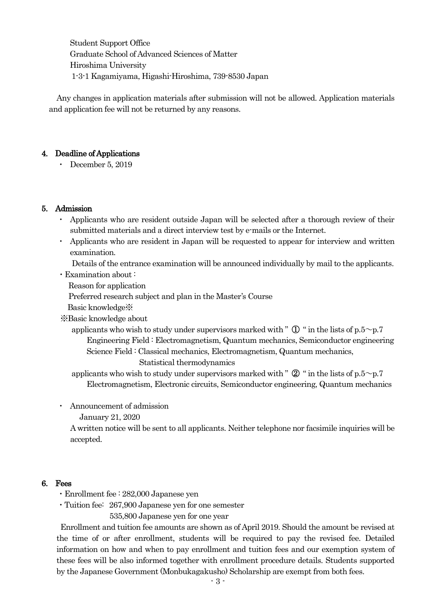Student Support Office Graduate School of Advanced Sciences of Matter Hiroshima University 1-3-1 Kagamiyama, Higashi-Hiroshima, 739-8530 Japan

Any changes in application materials after submission will not be allowed. Application materials and application fee will not be returned by any reasons.

#### 4. Deadline of Applications

・ December 5, 2019

#### 5. Admission

- Applicants who are resident outside Japan will be selected after a thorough review of their submitted materials and a direct interview test by e-mails or the Internet.
- ・ Applicants who are resident in Japan will be requested to appear for interview and written examination.

Details of the entrance examination will be announced individually by mail to the applicants.

・Examination about :

Reason for application

Preferred research subject and plan in the Master's Course

Basic knowledge※

※Basic knowledge about

applicants who wish to study under supervisors marked with "  $\mathbb{D}$  " in the lists of p.5~p.7 Engineering Field : Electromagnetism, Quantum mechanics, Semiconductor engineering Science Field : Classical mechanics, Electromagnetism, Quantum mechanics, Statistical thermodynamics

applicants who wish to study under supervisors marked with " $\mathcal{D}$ " in the lists of p.5~p.7 Electromagnetism, Electronic circuits, Semiconductor engineering, Quantum mechanics

Announcement of admission

January 21, 2020

A written notice will be sent to all applicants. Neither telephone nor facsimile inquiries will be accepted.

#### 6. Fees

- ・Enrollment fee : 282,000 Japanese yen
- ・Tuition fee: 267,900 Japanese yen for one semester

535,800 Japanese yen for one year

 Enrollment and tuition fee amounts are shown as of April 2019. Should the amount be revised at the time of or after enrollment, students will be required to pay the revised fee. Detailed information on how and when to pay enrollment and tuition fees and our exemption system of these fees will be also informed together with enrollment procedure details. Students supported by the Japanese Government (Monbukagakusho) Scholarship are exempt from both fees.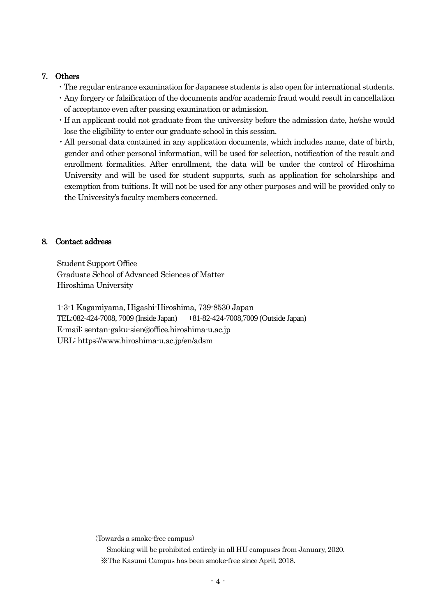#### 7. Others

- ・The regular entrance examination for Japanese students is also open for international students.
- ・Any forgery or falsification of the documents and/or academic fraud would result in cancellation of acceptance even after passing examination or admission.
- ・If an applicant could not graduate from the university before the admission date, he/she would lose the eligibility to enter our graduate school in this session.
- ・All personal data contained in any application documents, which includes name, date of birth, gender and other personal information, will be used for selection, notification of the result and enrollment formalities. After enrollment, the data will be under the control of Hiroshima University and will be used for student supports, such as application for scholarships and exemption from tuitions. It will not be used for any other purposes and will be provided only to the University's faculty members concerned.

#### 8. Contact address

Student Support Office Graduate School of Advanced Sciences of Matter Hiroshima University

1-3-1 Kagamiyama, Higashi-Hiroshima, 739-8530 Japan TEL:082-424-7008, 7009 (Inside Japan) +81-82-424-7008,7009 (Outside Japan) E-mail: sentan-gaku-sien@office.hiroshima-u.ac.jp URL: https://www.hiroshima-u.ac.jp/en/adsm

(Towards a smoke-free campus)

Smoking will be prohibited entirely in all HU campuses from January, 2020. ※The Kasumi Campus has been smoke-free since April, 2018.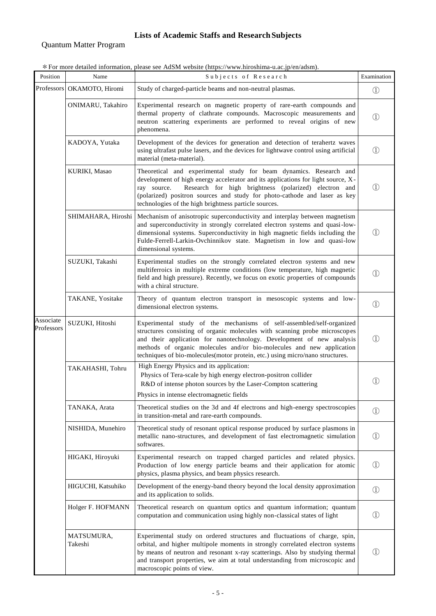#### **Lists of Academic Staffs and Research Subjects**

#### Quantum Matter Program

| * For more detailed information, please see AdSM website (https://www.hiroshima-u.ac.jp/en/adsm). |
|---------------------------------------------------------------------------------------------------|
|---------------------------------------------------------------------------------------------------|

| Position                | Name                       | Subjects of Research                                                                                                                                                                                                                                                                                                                                                                   | Examination                    |
|-------------------------|----------------------------|----------------------------------------------------------------------------------------------------------------------------------------------------------------------------------------------------------------------------------------------------------------------------------------------------------------------------------------------------------------------------------------|--------------------------------|
|                         | Professors OKAMOTO, Hiromi | Study of charged-particle beams and non-neutral plasmas.                                                                                                                                                                                                                                                                                                                               |                                |
|                         | ONIMARU, Takahiro          | Experimental research on magnetic property of rare-earth compounds and<br>thermal property of clathrate compounds. Macroscopic measurements and<br>neutron scattering experiments are performed to reveal origins of new<br>phenomena.                                                                                                                                                 |                                |
|                         | KADOYA, Yutaka             | Development of the devices for generation and detection of terahertz waves<br>using ultrafast pulse lasers, and the devices for lightwave control using artificial<br>material (meta-material).                                                                                                                                                                                        | $\left(1\right)$               |
|                         | KURIKI, Masao              | Theoretical and experimental study for beam dynamics. Research and<br>development of high energy accelerator and its applications for light source, X-<br>Research for high brightness (polarized) electron and<br>ray source.<br>(polarized) positron sources and study for photo-cathode and laser as key<br>technologies of the high brightness particle sources.                   | $\left(1\right)$               |
|                         |                            | SHIMAHARA, Hiroshi   Mechanism of anisotropic superconductivity and interplay between magnetism<br>and superconductivity in strongly correlated electron systems and quasi-low-<br>dimensional systems. Superconductivity in high magnetic fields including the<br>Fulde-Ferrell-Larkin-Ovchinnikov state. Magnetism in low and quasi-low<br>dimensional systems.                      | $\textcircled{\scriptsize{1}}$ |
|                         | SUZUKI, Takashi            | Experimental studies on the strongly correlated electron systems and new<br>multiferroics in multiple extreme conditions (low temperature, high magnetic<br>field and high pressure). Recently, we focus on exotic properties of compounds<br>with a chiral structure.                                                                                                                 |                                |
|                         | TAKANE, Yositake           | Theory of quantum electron transport in mesoscopic systems and low-<br>dimensional electron systems.                                                                                                                                                                                                                                                                                   | $^{\circledR}$                 |
| Associate<br>Professors | SUZUKI, Hitoshi            | Experimental study of the mechanisms of self-assembled/self-organized<br>structures consisting of organic molecules with scanning probe microscopes<br>and their application for nanotechnology. Development of new analysis<br>methods of organic molecules and/or bio-molecules and new application<br>techniques of bio-molecules(motor protein, etc.) using micro/nano structures. | (1)                            |
|                         | TAKAHASHI, Tohru           | High Energy Physics and its application:<br>Physics of Tera-scale by high energy electron-positron collider<br>R&D of intense photon sources by the Laser-Compton scattering<br>Physics in intense electromagnetic fields                                                                                                                                                              | (1)                            |
|                         | TANAKA, Arata              | Theoretical studies on the 3d and 4f electrons and high-energy spectroscopies<br>in transition-metal and rare-earth compounds.                                                                                                                                                                                                                                                         | $\mathbb{O}$                   |
|                         | NISHIDA, Munehiro          | Theoretical study of resonant optical response produced by surface plasmons in<br>metallic nano-structures, and development of fast electromagnetic simulation<br>softwares.                                                                                                                                                                                                           | $\textcircled{\scriptsize{1}}$ |
|                         | HIGAKI, Hiroyuki           | Experimental research on trapped charged particles and related physics.<br>Production of low energy particle beams and their application for atomic<br>physics, plasma physics, and beam physics research.                                                                                                                                                                             | $\textcircled{\scriptsize{1}}$ |
|                         | HIGUCHI, Katsuhiko         | Development of the energy-band theory beyond the local density approximation<br>and its application to solids.                                                                                                                                                                                                                                                                         | $\mathbb{O}$                   |
|                         | Holger F. HOFMANN          | Theoretical research on quantum optics and quantum information; quantum<br>computation and communication using highly non-classical states of light                                                                                                                                                                                                                                    | $\mathbb{O}$                   |
|                         | MATSUMURA,<br>Takeshi      | Experimental study on ordered structures and fluctuations of charge, spin,<br>orbital, and higher multipole moments in strongly correlated electron systems<br>by means of neutron and resonant x-ray scatterings. Also by studying thermal<br>and transport properties, we aim at total understanding from microscopic and<br>macroscopic points of view.                             | $\left(1\right)$               |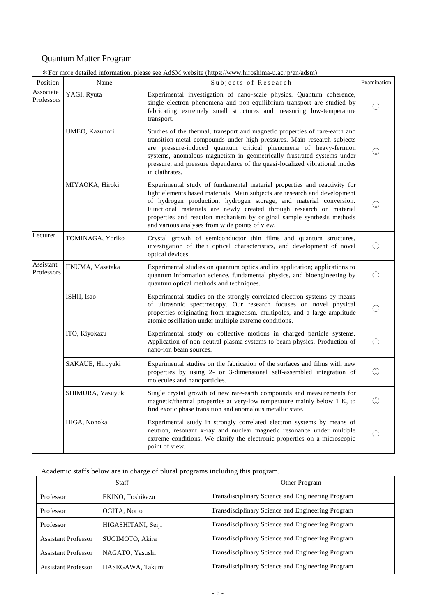#### Quantum Matter Program

|                         | Quantum Matter i rogram | * For more detailed information, please see AdSM website (https://www.hiroshima-u.ac.jp/en/adsm).                                                                                                                                                                                                                                                                                                                               |                   |
|-------------------------|-------------------------|---------------------------------------------------------------------------------------------------------------------------------------------------------------------------------------------------------------------------------------------------------------------------------------------------------------------------------------------------------------------------------------------------------------------------------|-------------------|
| Position                | Name                    | Subjects of Research                                                                                                                                                                                                                                                                                                                                                                                                            | Examination       |
| Associate<br>Professors | YAGI, Ryuta             | Experimental investigation of nano-scale physics. Quantum coherence,<br>single electron phenomena and non-equilibrium transport are studied by<br>fabricating extremely small structures and measuring low-temperature<br>transport.                                                                                                                                                                                            |                   |
|                         | UMEO, Kazunori          | Studies of the thermal, transport and magnetic properties of rare-earth and<br>transition-metal compounds under high pressures. Main research subjects<br>are pressure-induced quantum critical phenomena of heavy-fermion<br>systems, anomalous magnetism in geometrically frustrated systems under<br>pressure, and pressure dependence of the quasi-localized vibrational modes<br>in clathrates.                            | $\left(1\right)$  |
|                         | MIYAOKA, Hiroki         | Experimental study of fundamental material properties and reactivity for<br>light elements based materials. Main subjects are research and development<br>of hydrogen production, hydrogen storage, and material conversion.<br>Functional materials are newly created through research on material<br>properties and reaction mechanism by original sample synthesis methods<br>and various analyses from wide points of view. | $\left(1\right)$  |
| Lecturer                | TOMINAGA, Yoriko        | Crystal growth of semiconductor thin films and quantum structures,<br>investigation of their optical characteristics, and development of novel<br>optical devices.                                                                                                                                                                                                                                                              |                   |
| Assistant<br>Professors | IINUMA, Masataka        | Experimental studies on quantum optics and its application; applications to<br>quantum information science, fundamental physics, and bioengineering by<br>quantum optical methods and techniques.                                                                                                                                                                                                                               |                   |
|                         | ISHII, Isao             | Experimental studies on the strongly correlated electron systems by means<br>of ultrasonic spectroscopy. Our research focuses on novel physical<br>properties originating from magnetism, multipoles, and a large-amplitude<br>atomic oscillation under multiple extreme conditions.                                                                                                                                            |                   |
|                         | ITO, Kiyokazu           | Experimental study on collective motions in charged particle systems.<br>Application of non-neutral plasma systems to beam physics. Production of<br>nano-ion beam sources.                                                                                                                                                                                                                                                     |                   |
|                         | SAKAUE, Hiroyuki        | Experimental studies on the fabrication of the surfaces and films with new<br>properties by using 2- or 3-dimensional self-assembled integration of<br>molecules and nanoparticles.                                                                                                                                                                                                                                             | $\mathbb{O}$      |
|                         | SHIMURA, Yasuyuki       | Single crystal growth of new rare-earth compounds and measurements for<br>magnetic/thermal properties at very-low temperature mainly below 1 K, to<br>find exotic phase transition and anomalous metallic state.                                                                                                                                                                                                                | $\textcircled{1}$ |
|                         | HIGA, Nonoka            | Experimental study in strongly correlated electron systems by means of                                                                                                                                                                                                                                                                                                                                                          |                   |

Academic staffs below are in charge of plural programs including this program.

point of view.

| Staff                      |                    | Other Program                                     |
|----------------------------|--------------------|---------------------------------------------------|
| Professor                  | EKINO, Toshikazu   | Transdisciplinary Science and Engineering Program |
| Professor                  | OGITA, Norio       | Transdisciplinary Science and Engineering Program |
| Professor                  | HIGASHITANI, Seiji | Transdisciplinary Science and Engineering Program |
| <b>Assistant Professor</b> | SUGIMOTO, Akira    | Transdisciplinary Science and Engineering Program |
| <b>Assistant Professor</b> | NAGATO, Yasushi    | Transdisciplinary Science and Engineering Program |
| Assistant Professor        | HASEGAWA, Takumi   | Transdisciplinary Science and Engineering Program |

neutron, resonant x-ray and nuclear magnetic resonance under multiple extreme conditions. We clarify the electronic properties on a microscopic

 $\textcircled{\small{1}}$